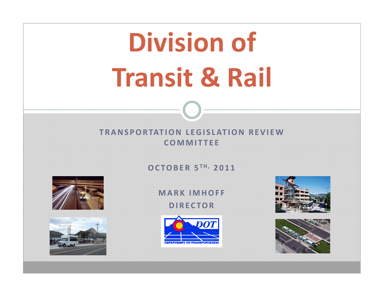# **Division of Transit & Rail**

#### **TRANSPORTATION LEGISLATION REVIEWCOMMITTEE**

**OCTOBER 5 TH, 2011**





#### **MARK IMHOFF DIRECTOR**





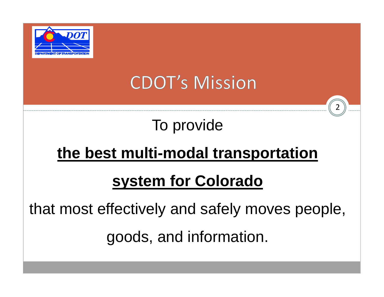

## **CDOT's Mission**

2

### To provide

### **the best multi-modal transportation**

### **system for Colorado**

that most effectively and safely moves people,

goods, and information.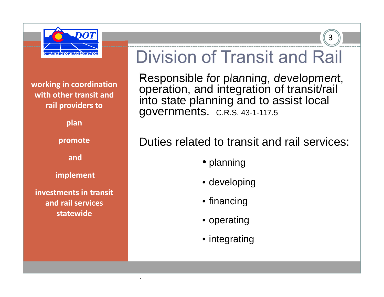

**working in coordination with other transit and rail providers to**

**plan**

**promote**

**and**

**implement**

**investments in transit and rail services statewide**

.

## Division of Transit and Rail

3

Responsible for planning, development, operation, and integration of transit/rail into state planning and to assist local governments. C.R.S. 43-1-117.5

#### Duties related to transit and rail services:

- planning
- developing
- financing
- operating
- integrating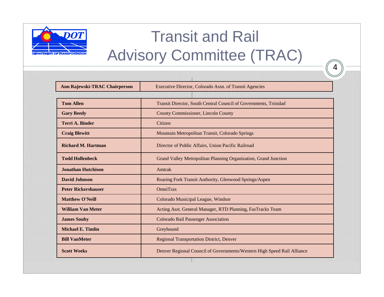

### Transit and Rail Advisory Committee (TRAC)

| Ann Rajewski-TRAC Chairperson | Executive Director, Colorado Assn. of Transit Agencies                  |  |  |
|-------------------------------|-------------------------------------------------------------------------|--|--|
|                               |                                                                         |  |  |
| <b>Tom Allen</b>              | Transit Director, South Central Council of Governments, Trinidad        |  |  |
| <b>Gary Beedy</b>             | County Commissioner, Lincoln County                                     |  |  |
| <b>Terri A. Binder</b>        | Citizen                                                                 |  |  |
| <b>Craig Blewitt</b>          | Mountain Metropolitan Transit, Colorado Springs                         |  |  |
| <b>Richard M. Hartman</b>     | Director of Public Affairs, Union Pacific Railroad                      |  |  |
| <b>Todd Hollenbeck</b>        | Grand Valley Metropolitan Planning Organization, Grand Junction         |  |  |
| <b>Jonathan Hutchison</b>     | Amtrak                                                                  |  |  |
| <b>David Johnson</b>          | Roaring Fork Transit Authority, Glenwood Springs/Aspen                  |  |  |
| <b>Peter Rickershauser</b>    | <b>OmniTrax</b>                                                         |  |  |
| <b>Matthew O'Neill</b>        | Colorado Municipal League, Windsor                                      |  |  |
| <b>William Van Meter</b>      | Acting Asst. General Manager, RTD Planning, FasTracks Team              |  |  |
| <b>James Souby</b>            | <b>Colorado Rail Passenger Association</b>                              |  |  |
| <b>Michael E. Timlin</b>      | Greyhound                                                               |  |  |
| <b>Bill VanMeter</b>          | <b>Regional Transportation District, Denver</b>                         |  |  |
| <b>Scott Weeks</b>            | Denver Regional Council of Governments/Western High Speed Rail Alliance |  |  |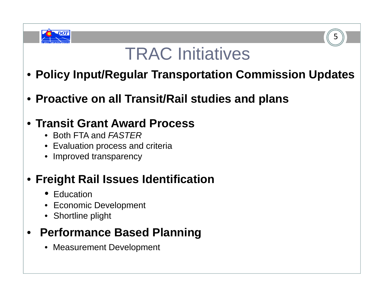

## TRAC Initiatives

5

- **Policy Input/Regular Transportation Commission Updates**
- **Proactive on all Transit/Rail studies and plans**

#### • **Transit Grant Award Process**

- Both FTA and *FASTER*
- Evaluation process and criteria
- Improved transparency

### • **Freight Rail Issues Identification**

- Education
- Economic Development
- Shortline plight

### • **Performance Based Planning**

• Measurement Development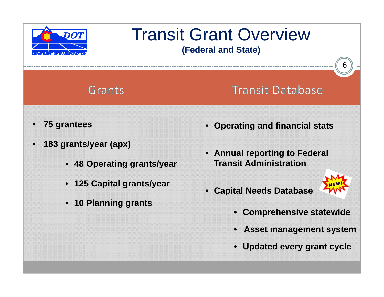

## Transit Grant Overview

**(Federal and State)**

#### Grants

#### **Transit Database**

- •**75 grantees**
- • **183 grants/year (apx)**
	- **48 Operating grants/year**
	- **125 Capital grants/year**
	- **10 Planning grants**
- **Operating and financial stats**
- **Annual reporting to Federal Transit Administration**
- •**Capital Needs Database**



- **Comprehensive statewide**
- **Asset management system**
- **Updated every grant cycle**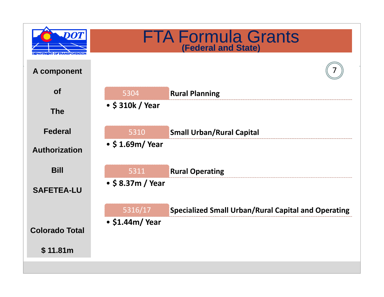|                       |                           | <b>FTA Formula Grants</b><br><b>(Federal and State)</b>    |
|-----------------------|---------------------------|------------------------------------------------------------|
| A component           |                           |                                                            |
| <b>of</b>             | 5304                      | <b>Rural Planning</b>                                      |
| <b>The</b>            | • \$310k / Year           |                                                            |
| <b>Federal</b>        | 5310                      | <b>Small Urban/Rural Capital</b>                           |
| <b>Authorization</b>  | $\cdot$ \$ 1.69m/ Year    |                                                            |
| <b>Bill</b>           | 5311                      | <b>Rural Operating</b>                                     |
| <b>SAFETEA-LU</b>     | $\bullet$ \$ 8.37m / Year |                                                            |
|                       | 5316/17                   | <b>Specialized Small Urban/Rural Capital and Operating</b> |
| <b>Colorado Total</b> | $\cdot$ \$1.44m/Year      |                                                            |
| \$11.81m              |                           |                                                            |
|                       |                           |                                                            |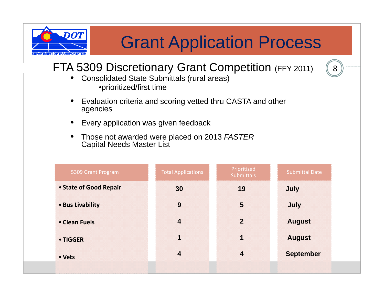

## Grant Application Process

8

#### FTA 5309 Discretionary Grant Competition (FFY 2011)

- • Consolidated State Submittals (rural areas) •prioritized/first time
- • Evaluation criteria and scoring vetted thru CASTA and other agencies
- •Every application was given feedback
- • Those not awarded were placed on 2013 *FASTER* Capital Needs Master List

| 5309 Grant Program     | <b>Total Applications</b> | Prioritized<br><b>Submittals</b> | <b>Submittal Date</b> |
|------------------------|---------------------------|----------------------------------|-----------------------|
| • State of Good Repair | 30                        | 19                               | July                  |
| • Bus Livability       | 9                         | 5                                | July                  |
| • Clean Fuels          | $\overline{\mathbf{4}}$   | $\overline{2}$                   | <b>August</b>         |
| • TIGGER               | 1                         | 1                                | <b>August</b>         |
| • Vets                 | $\overline{4}$            | $\overline{\mathbf{4}}$          | <b>September</b>      |
|                        |                           |                                  |                       |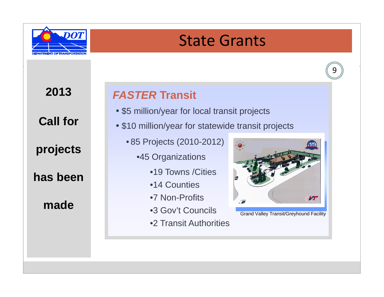

### State Grants



**2013** 

**Call for** 

**projects** 

**has been** 

**made**

#### *FASTER* **Transit**

- \$5 million/year for local transit projects
- \$10 million/year for statewide transit projects
	- 85 Projects (2010-2012)
		- •45 Organizations
			- •19 Towns / Cities
			- •14 Counties
			- •7 Non-Profits
			- •3 Gov't Councils
			- •2 Transit Authorities



Grand Valley Transit/Greyhound Facility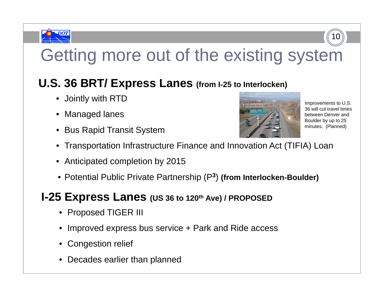

## Getting more out of the existing system

#### **U.S. 36 BRT/ Express Lanes (from I-25 to Interlocken)**

- Jointly with RTD
- Managed lanes
- Bus Rapid Transit System



Improvements to U.S. 36 will cut travel times between Denver and Boulder by up to 25 minutes. (Planned)

10

- Transportation Infrastructure Finance and Innovation Act (TIFIA) Loan
- Anticipated completion by 2015
- Potential Public Private Partnership (P **<sup>3</sup>**) **(from Interlocken-Boulder)**

#### **I-25 Express Lanes (US <sup>36</sup> to 120th Ave) / PROPOSED**

- Proposed TIGER III
- Improved express bus service <sup>+</sup> Park and Ride access
- Congestion relief
- Decades earlier than planned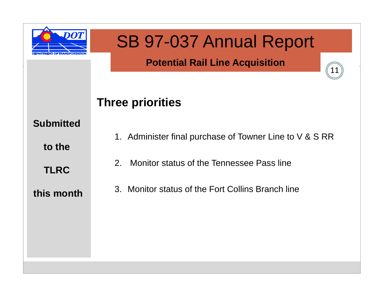

### SB 97-037 Annual Report

#### **Potential Rail Line Acquisition**

11

#### **Three priorities**

#### **Submitted**

**to the** 

**TLRC**

1. Administer final purchase of Towner Line to V & S RR

2. Monitor status of the Tennessee Pass line

#### **this month**

3. Monitor status of the Fort Collins Branch line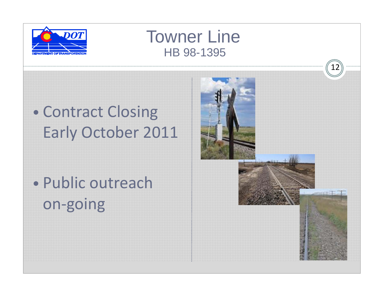

### Towner LineHB 98-1395

#### $\bullet$ • Contract Closing Early October 2011

• Public outreachon‐going

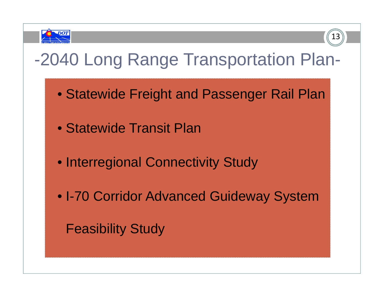



### -2040 Long Range Transportation Plan-

- Statewide Freight and Passenger Rail Plan
- Statewide Transit Plan
- Interregional Connectivity Study
- I-70 Corridor Advanced Guideway System

Feasibility Study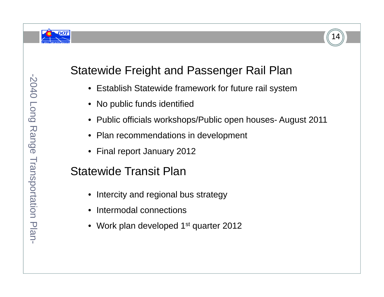



#### Statewide Freight and Passenger Rail Plan

- Establish Statewide framework for future rail system
- No public funds identified
- Public officials workshops/Public open houses- August 2011
- •Plan recommendations in development
- •Final report January 2012

#### Statewide Transit Plan

- Intercity and regional bus strategy
- Intermodal connections
- Work plan developed 1st quarter 2012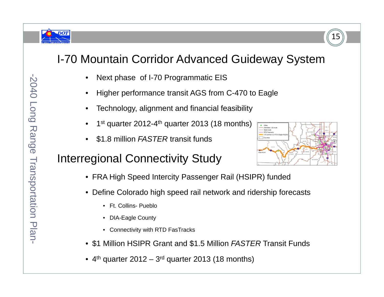



#### I-70 Mountain Corridor Advanced Guideway System

- •Next phase of I-70 Programmatic EIS
- •Higher performance transit AGS from C-470 to Eagle
- •Technology, alignment and financial feasibility
- •1<sup>st</sup> quarter 2012-4<sup>th</sup> quarter 2013 (18 months)
- •\$1.8 million *FASTER* transit funds

#### Interregional Connectivity Study

- FRA High Speed Intercity Passenger Rail (HSIPR) funded
- Define Colorado high speed rail network and ridership forecasts
	- Ft. Collins- Pueblo
	- DIA-Eagle County
	- Connectivity with RTD FasTracks
- \$1 Million HSIPR Grant and \$1.5 Million *FASTER* Transit Funds
- 4<sup>th</sup> quarter 2012 3<sup>rd</sup> quarter 2013 (18 months)

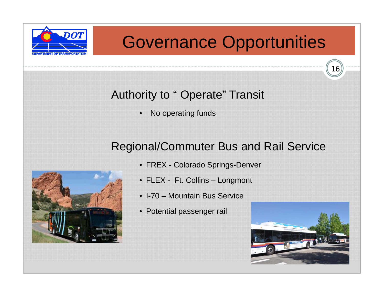

### Governance Opportunities

#### Authority to " Operate" Transit

•No operating funds

#### Regional/Commuter Bus and Rail Service



- FREX Colorado Springs-Denver
- FLEX Ft. Collins Longmont
- I-70 Mountain Bus Service
- Potential passenger rail

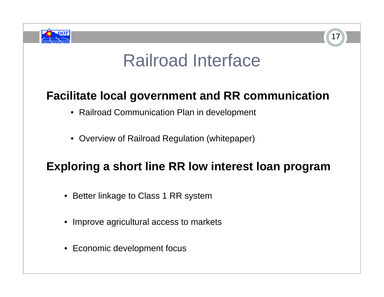



### Railroad Interface

#### **Facilitate local government and RR communication**

- Railroad Communication Plan in development
- Overview of Railroad Regulation (whitepaper)

#### **Exploring <sup>a</sup> short line RR low interest loan program**

- Better linkage to Class 1 RR system
- Improve agricultural access to markets
- Economic development focus